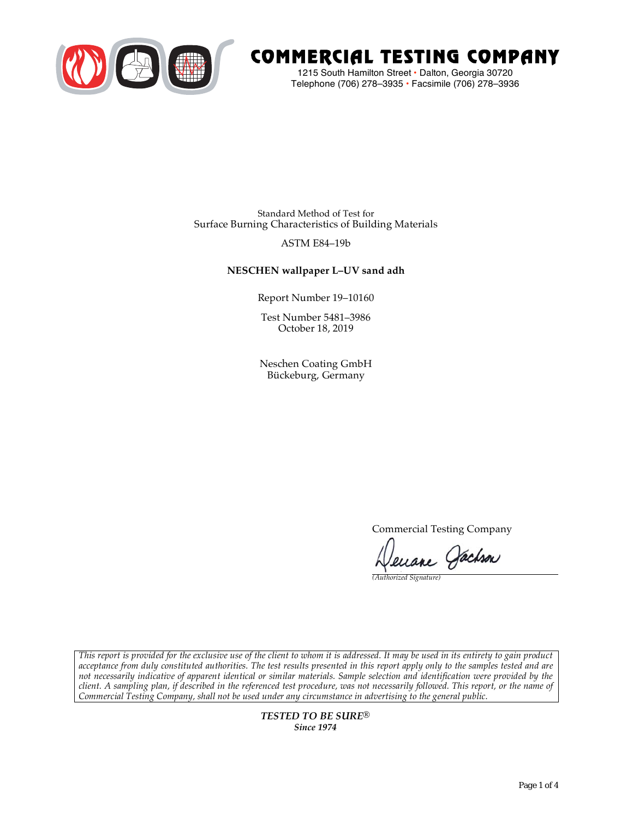

# COMMERCIAL TESTING COMPANY

1215 South Hamilton Street • Dalton, Georgia 30720 Telephone (706) 278–3935 **•** Facsimile (706) 278–3936

Standard Method of Test for Surface Burning Characteristics of Building Materials

## ASTM E84–19b

## **NESCHEN wallpaper L–UV sand adh**

Report Number 19–10160

Test Number 5481–3986 October 18, 2019

Neschen Coating GmbH Bückeburg, Germany

Commercial Testing Company

Jenane Jachson

*(Authorized Signature)* 

*This report is provided for the exclusive use of the client to whom it is addressed. It may be used in its entirety to gain product acceptance from duly constituted authorities. The test results presented in this report apply only to the samples tested and are not necessarily indicative of apparent identical or similar materials. Sample selection and identification were provided by the client. A sampling plan, if described in the referenced test procedure, was not necessarily followed. This report, or the name of Commercial Testing Company, shall not be used under any circumstance in advertising to the general public.* 

> *TESTED TO BE SURE® Since 1974*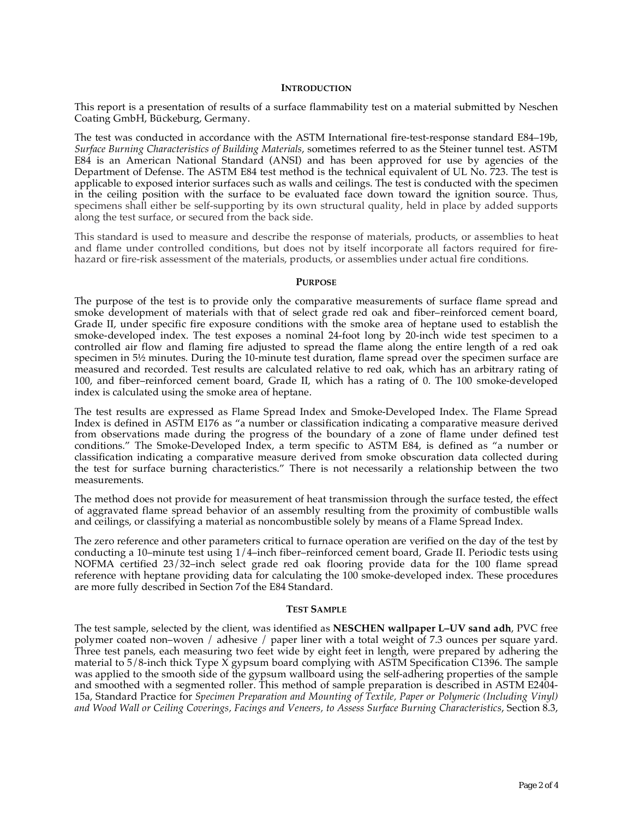#### **INTRODUCTION**

This report is a presentation of results of a surface flammability test on a material submitted by Neschen Coating GmbH, Bückeburg, Germany.

The test was conducted in accordance with the ASTM International fire-test-response standard E84–19b, *Surface Burning Characteristics of Building Materials*, sometimes referred to as the Steiner tunnel test. ASTM E84 is an American National Standard (ANSI) and has been approved for use by agencies of the Department of Defense. The ASTM E84 test method is the technical equivalent of UL No. 723. The test is applicable to exposed interior surfaces such as walls and ceilings. The test is conducted with the specimen in the ceiling position with the surface to be evaluated face down toward the ignition source. Thus, specimens shall either be self-supporting by its own structural quality, held in place by added supports along the test surface, or secured from the back side.

This standard is used to measure and describe the response of materials, products, or assemblies to heat and flame under controlled conditions, but does not by itself incorporate all factors required for firehazard or fire-risk assessment of the materials, products, or assemblies under actual fire conditions.

#### **PURPOSE**

The purpose of the test is to provide only the comparative measurements of surface flame spread and smoke development of materials with that of select grade red oak and fiber–reinforced cement board, Grade II, under specific fire exposure conditions with the smoke area of heptane used to establish the smoke-developed index. The test exposes a nominal 24-foot long by 20-inch wide test specimen to a controlled air flow and flaming fire adjusted to spread the flame along the entire length of a red oak specimen in  $5\frac{1}{2}$  minutes. During the 10-minute test duration, flame spread over the specimen surface are measured and recorded. Test results are calculated relative to red oak, which has an arbitrary rating of 100, and fiber–reinforced cement board, Grade II, which has a rating of 0. The 100 smoke-developed index is calculated using the smoke area of heptane.

The test results are expressed as Flame Spread Index and Smoke-Developed Index. The Flame Spread Index is defined in ASTM E176 as "a number or classification indicating a comparative measure derived from observations made during the progress of the boundary of a zone of flame under defined test conditions." The Smoke-Developed Index, a term specific to ASTM E84, is defined as "a number or classification indicating a comparative measure derived from smoke obscuration data collected during the test for surface burning characteristics." There is not necessarily a relationship between the two measurements.

The method does not provide for measurement of heat transmission through the surface tested, the effect of aggravated flame spread behavior of an assembly resulting from the proximity of combustible walls and ceilings, or classifying a material as noncombustible solely by means of a Flame Spread Index.

The zero reference and other parameters critical to furnace operation are verified on the day of the test by conducting a 10–minute test using 1/4–inch fiber–reinforced cement board, Grade II. Periodic tests using NOFMA certified 23/32–inch select grade red oak flooring provide data for the 100 flame spread reference with heptane providing data for calculating the 100 smoke-developed index. These procedures are more fully described in Section 7of the E84 Standard.

### **TEST SAMPLE**

The test sample, selected by the client, was identified as **NESCHEN wallpaper L–UV sand adh**, PVC free polymer coated non–woven / adhesive / paper liner with a total weight of 7.3 ounces per square yard. Three test panels, each measuring two feet wide by eight feet in length, were prepared by adhering the material to 5/8-inch thick Type X gypsum board complying with ASTM Specification C1396. The sample was applied to the smooth side of the gypsum wallboard using the self-adhering properties of the sample and smoothed with a segmented roller. This method of sample preparation is described in ASTM E2404- 15a, Standard Practice for *Specimen Preparation and Mounting of Textile, Paper or Polymeric (Including Vinyl) and Wood Wall or Ceiling Coverings, Facings and Veneers, to Assess Surface Burning Characteristics*, Section 8.3,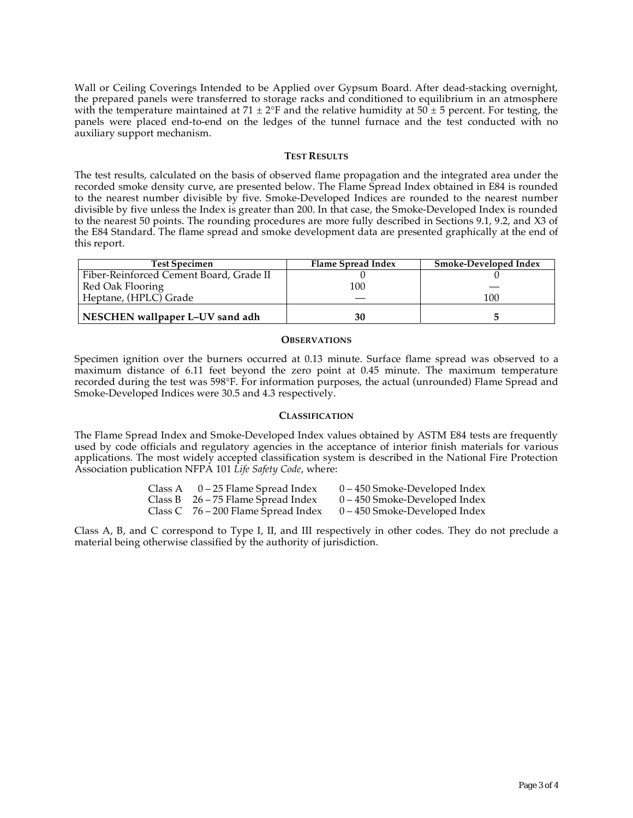Wall or Ceiling Coverings Intended to be Applied over Gypsum Board. After dead-stacking overnight, the prepared panels were transferred to storage racks and conditioned to equilibrium in an atmosphere with the temperature maintained at 71  $\pm$  2°F and the relative humidity at 50  $\pm$  5 percent. For testing, the panels were placed end-to-end on the ledges of the tunnel furnace and the test conducted with no auxiliary support mechanism.

## **TEST RESULTS**

The test results, calculated on the basis of observed flame propagation and the integrated area under the recorded smoke density curve, are presented below. The Flame Spread Index obtained in E84 is rounded to the nearest number divisible by five. Smoke-Developed Indices are rounded to the nearest number divisible by five unless the Index is greater than 200. In that case, the Smoke-Developed Index is rounded to the nearest 50 points. The rounding procedures are more fully described in Sections 9.1, 9.2, and X3 of the E84 Standard. The flame spread and smoke development data are presented graphically at the end of this report.

| <b>Test Specimen</b>                    | Flame Spread Index | Smoke-Developed Index |
|-----------------------------------------|--------------------|-----------------------|
| Fiber-Reinforced Cement Board, Grade II |                    |                       |
| Red Oak Flooring                        | 100                |                       |
| Heptane, (HPLC) Grade                   |                    | 100                   |
| NESCHEN wallpaper L-UV sand adh         | 30                 |                       |

### **OBSERVATIONS**

Specimen ignition over the burners occurred at 0.13 minute. Surface flame spread was observed to a maximum distance of 6.11 feet beyond the zero point at 0.45 minute. The maximum temperature recorded during the test was 598°F. For information purposes, the actual (unrounded) Flame Spread and Smoke-Developed Indices were 30.5 and 4.3 respectively.

## **CLASSIFICATION**

The Flame Spread Index and Smoke-Developed Index values obtained by ASTM E84 tests are frequently used by code officials and regulatory agencies in the acceptance of interior finish materials for various applications. The most widely accepted classification system is described in the National Fire Protection Association publication NFPA 101 *Life Safety Code*, where:

| Class A | 0 – 25 Flame Spread Index             | $0 - 450$ Smoke-Developed Index |
|---------|---------------------------------------|---------------------------------|
|         | Class B $26 - 75$ Flame Spread Index  | $0 - 450$ Smoke-Developed Index |
|         | Class C $76 - 200$ Flame Spread Index | $0 - 450$ Smoke-Developed Index |

Class A, B, and C correspond to Type I, II, and III respectively in other codes. They do not preclude a material being otherwise classified by the authority of jurisdiction.